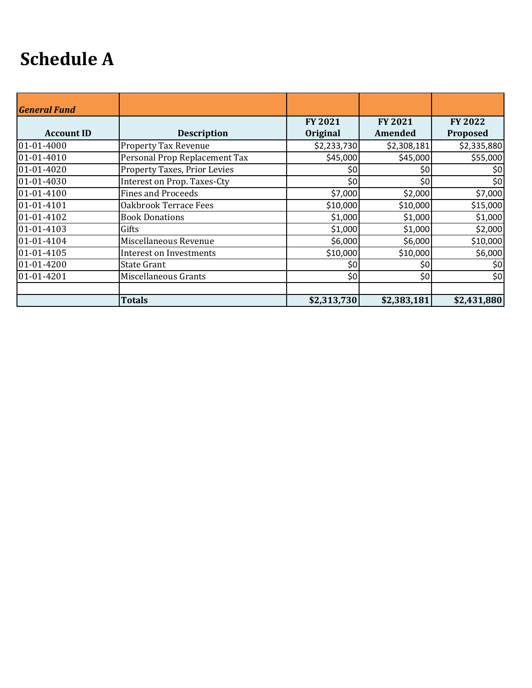## **Schedule A**

| <b>General Fund</b> |                                |                            |                           |                     |
|---------------------|--------------------------------|----------------------------|---------------------------|---------------------|
| <b>Account ID</b>   | <b>Description</b>             | <b>FY 2021</b><br>Original | <b>FY 2021</b><br>Amended | FY 2022<br>Proposed |
| 01-01-4000          | Property Tax Revenue           | \$2,233,730                | \$2,308,181               | \$2,335,880         |
| 01-01-4010          | Personal Prop Replacement Tax  | \$45,000                   | \$45,000                  | \$55,000            |
| 01-01-4020          | Property Taxes, Prior Levies   | \$0                        | \$0                       | \$0                 |
| 01-01-4030          | Interest on Prop. Taxes-Cty    | \$0                        | \$0                       | \$0                 |
| 01-01-4100          | <b>Fines and Proceeds</b>      | \$7,000                    | \$2,000                   | \$7,000             |
| 01-01-4101          | Oakbrook Terrace Fees          | \$10,000                   | \$10,000                  | \$15,000            |
| 01-01-4102          | <b>Book Donations</b>          | \$1,000                    | \$1,000                   | \$1,000             |
| 01-01-4103          | Gifts                          | \$1,000                    | \$1,000                   | \$2,000             |
| 01-01-4104          | Miscellaneous Revenue          | \$6,000                    | \$6,000                   | \$10,000            |
| 01-01-4105          | <b>Interest on Investments</b> | \$10,000                   | \$10,000                  | \$6,000             |
| 01-01-4200          | <b>State Grant</b>             | \$0                        | \$0                       | \$0                 |
| 01-01-4201          | Miscellaneous Grants           | \$0                        | \$0                       | \$0                 |
|                     | <b>Totals</b>                  | \$2,313,730                | \$2,383,181               | \$2,431,880         |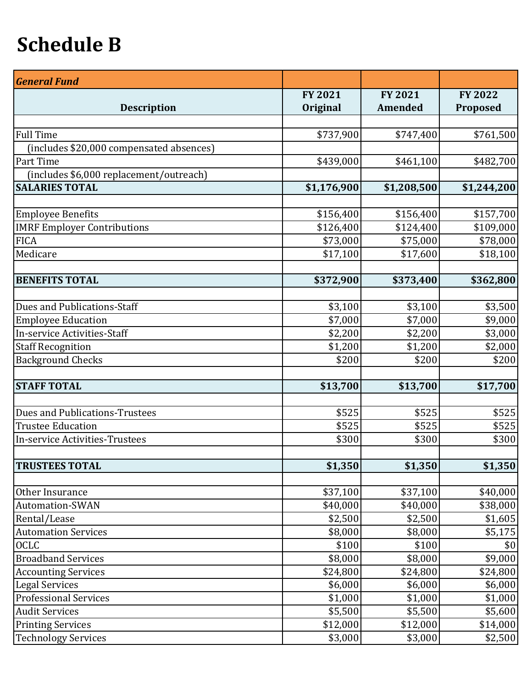## **Schedule B**

| <b>General Fund</b>                      |                |                |                |
|------------------------------------------|----------------|----------------|----------------|
|                                          | <b>FY 2021</b> | <b>FY 2021</b> | <b>FY 2022</b> |
| <b>Description</b>                       | Original       | Amended        | Proposed       |
|                                          |                |                |                |
| <b>Full Time</b>                         | \$737,900      | \$747,400      | \$761,500      |
| (includes \$20,000 compensated absences) |                |                |                |
| Part Time                                | \$439,000      | \$461,100      | \$482,700      |
| (includes \$6,000 replacement/outreach)  |                |                |                |
| <b>SALARIES TOTAL</b>                    | \$1,176,900    | \$1,208,500    | \$1,244,200    |
|                                          |                |                |                |
| <b>Employee Benefits</b>                 | \$156,400      | \$156,400      | \$157,700      |
| <b>IMRF Employer Contributions</b>       | \$126,400      | \$124,400      | \$109,000      |
| <b>FICA</b>                              | \$73,000       | \$75,000       | \$78,000       |
| Medicare                                 | \$17,100       | \$17,600       | \$18,100       |
|                                          |                |                |                |
| <b>BENEFITS TOTAL</b>                    | \$372,900      | \$373,400      | \$362,800      |
|                                          |                |                |                |
| Dues and Publications-Staff              | \$3,100        | \$3,100        | \$3,500        |
| <b>Employee Education</b>                | \$7,000        | \$7,000        | \$9,000        |
| In-service Activities-Staff              | \$2,200        | \$2,200        | \$3,000        |
| <b>Staff Recognition</b>                 | \$1,200        | \$1,200        | \$2,000        |
| <b>Background Checks</b>                 | \$200          | \$200          | \$200          |
| <b>STAFF TOTAL</b>                       | \$13,700       | \$13,700       | \$17,700       |
|                                          |                |                |                |
| <b>Dues and Publications-Trustees</b>    | \$525          | \$525          | \$525          |
| <b>Trustee Education</b>                 | \$525          | \$525          | \$525          |
| <b>In-service Activities-Trustees</b>    | \$300          | \$300          | \$300          |
|                                          |                |                |                |
| <b>TRUSTEES TOTAL</b>                    | \$1,350        | \$1,350        | \$1,350        |
|                                          |                |                |                |
| Other Insurance                          | \$37,100       | \$37,100       | \$40,000       |
| <b>Automation-SWAN</b>                   | \$40,000       | \$40,000       | \$38,000       |
| Rental/Lease                             | \$2,500        | \$2,500        | \$1,605        |
| <b>Automation Services</b>               | \$8,000        | \$8,000        | \$5,175        |
| <b>OCLC</b>                              | \$100          | \$100          | \$0            |
| <b>Broadband Services</b>                | \$8,000        | \$8,000        | \$9,000        |
| <b>Accounting Services</b>               | \$24,800       | \$24,800       | \$24,800       |
| <b>Legal Services</b>                    | \$6,000        | \$6,000        | \$6,000        |
| Professional Services                    | \$1,000        | \$1,000        | \$1,000        |
| <b>Audit Services</b>                    | \$5,500        | \$5,500        | \$5,600        |
| <b>Printing Services</b>                 | \$12,000       | \$12,000       | \$14,000       |
| <b>Technology Services</b>               | \$3,000        | \$3,000        | \$2,500        |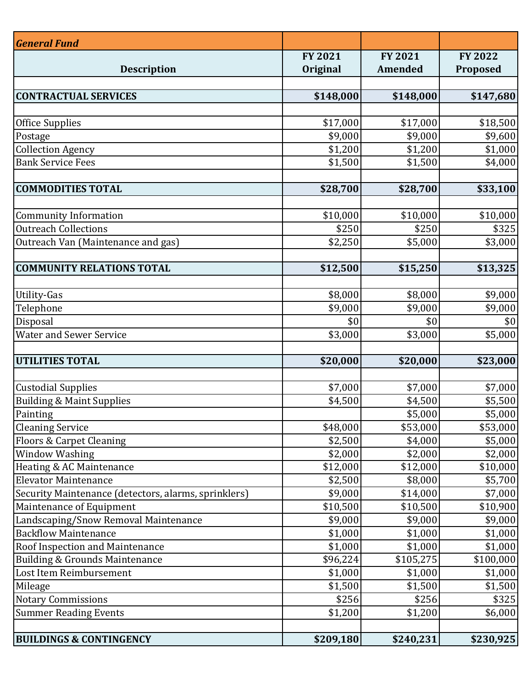| <b>General Fund</b>                                  |           |                |                |
|------------------------------------------------------|-----------|----------------|----------------|
|                                                      | FY 2021   | <b>FY 2021</b> | <b>FY 2022</b> |
| <b>Description</b>                                   | Original  | Amended        | Proposed       |
|                                                      |           |                |                |
| <b>CONTRACTUAL SERVICES</b>                          | \$148,000 | \$148,000      | \$147,680      |
| Office Supplies                                      | \$17,000  | \$17,000       | \$18,500       |
| Postage                                              | \$9,000   | \$9,000        | \$9,600        |
| <b>Collection Agency</b>                             | \$1,200   | \$1,200        | \$1,000        |
| <b>Bank Service Fees</b>                             | \$1,500   | \$1,500        | \$4,000        |
|                                                      |           |                |                |
| <b>COMMODITIES TOTAL</b>                             | \$28,700  | \$28,700       | \$33,100       |
|                                                      |           |                |                |
| <b>Community Information</b>                         | \$10,000  | \$10,000       | \$10,000       |
| <b>Outreach Collections</b>                          | \$250     | \$250          | \$325          |
| Outreach Van (Maintenance and gas)                   | \$2,250   | \$5,000        | \$3,000        |
|                                                      |           |                |                |
| <b>COMMUNITY RELATIONS TOTAL</b>                     | \$12,500  | \$15,250       | \$13,325       |
|                                                      |           |                |                |
| <b>Utility-Gas</b>                                   | \$8,000   | \$8,000        | \$9,000        |
| Telephone                                            | \$9,000   | \$9,000        | \$9,000        |
| Disposal                                             | \$0       | \$0            | \$0            |
| <b>Water and Sewer Service</b>                       | \$3,000   | \$3,000        | \$5,000        |
| <b>UTILITIES TOTAL</b>                               | \$20,000  | \$20,000       | \$23,000       |
|                                                      |           |                |                |
| <b>Custodial Supplies</b>                            | \$7,000   | \$7,000        | \$7,000        |
| <b>Building &amp; Maint Supplies</b>                 | \$4,500   | \$4,500        | \$5,500        |
| Painting                                             |           | \$5,000        | \$5,000        |
| <b>Cleaning Service</b>                              | \$48,000  | \$53,000       | \$53,000       |
| <b>Floors &amp; Carpet Cleaning</b>                  | \$2,500   | \$4,000        | \$5,000        |
| <b>Window Washing</b>                                | \$2,000   | \$2,000        | \$2,000        |
| Heating & AC Maintenance                             | \$12,000  | \$12,000       | \$10,000       |
| <b>Elevator Maintenance</b>                          | \$2,500   | \$8,000        | \$5,700        |
| Security Maintenance (detectors, alarms, sprinklers) | \$9,000   | \$14,000       | \$7,000        |
| Maintenance of Equipment                             | \$10,500  | \$10,500       | \$10,900       |
| Landscaping/Snow Removal Maintenance                 | \$9,000   | \$9,000        | \$9,000        |
| <b>Backflow Maintenance</b>                          | \$1,000   | \$1,000        | \$1,000        |
| Roof Inspection and Maintenance                      | \$1,000   | \$1,000        | \$1,000        |
| Building & Grounds Maintenance                       | \$96,224  | \$105,275      | \$100,000      |
| Lost Item Reimbursement                              | \$1,000   | \$1,000        | \$1,000        |
| Mileage                                              | \$1,500   | \$1,500        | \$1,500        |
| <b>Notary Commissions</b>                            | \$256     | \$256          | \$325          |
| Summer Reading Events                                | \$1,200   | \$1,200        | \$6,000        |
|                                                      |           |                |                |
| <b>BUILDINGS &amp; CONTINGENCY</b>                   | \$209,180 | \$240,231      | \$230,925      |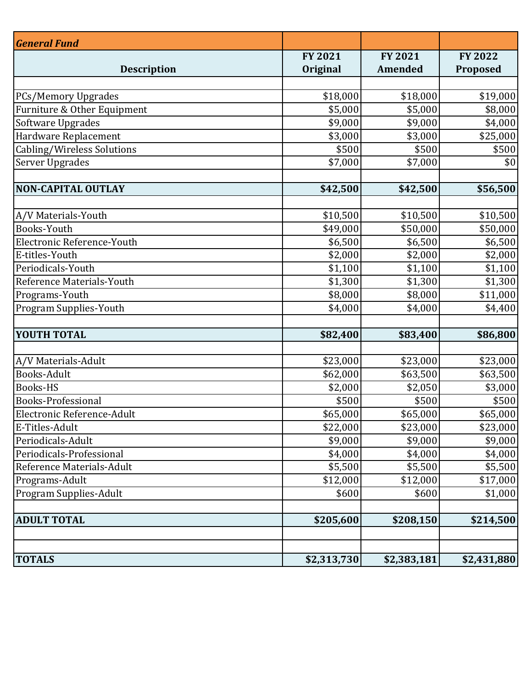| <b>General Fund</b>           | <b>FY 2021</b> | <b>FY 2021</b> | <b>FY 2022</b> |
|-------------------------------|----------------|----------------|----------------|
| <b>Description</b>            | Original       | <b>Amended</b> | Proposed       |
|                               |                |                |                |
| <b>PCs/Memory Upgrades</b>    | \$18,000       | \$18,000       | \$19,000       |
| Furniture & Other Equipment   | \$5,000        | \$5,000        | \$8,000        |
| Software Upgrades             | \$9,000        | \$9,000        | \$4,000        |
| Hardware Replacement          | \$3,000        | \$3,000        | \$25,000       |
| Cabling/Wireless Solutions    | \$500          | \$500          | \$500          |
| Server Upgrades               | \$7,000        | \$7,000        | \$0            |
| <b>NON-CAPITAL OUTLAY</b>     | \$42,500       | \$42,500       | \$56,500       |
|                               |                |                |                |
| A/V Materials-Youth           | \$10,500       | \$10,500       | \$10,500       |
| Books-Youth                   | \$49,000       | \$50,000       | \$50,000       |
| Electronic Reference-Youth    | \$6,500        | \$6,500        | \$6,500        |
| E-titles-Youth                | \$2,000        | \$2,000        | \$2,000        |
| Periodicals-Youth             | \$1,100        | \$1,100        | \$1,100        |
| Reference Materials-Youth     | \$1,300        | \$1,300        | \$1,300        |
| Programs-Youth                | \$8,000        | \$8,000        | \$11,000       |
| Program Supplies-Youth        | \$4,000        | \$4,000        | \$4,400        |
| <b>YOUTH TOTAL</b>            | \$82,400       | \$83,400       | \$86,800       |
|                               |                |                |                |
| A/V Materials-Adult           | \$23,000       | \$23,000       | \$23,000       |
| <b>Books-Adult</b>            | \$62,000       | \$63,500       | \$63,500       |
| <b>Books-HS</b>               | \$2,000        | \$2,050        | \$3,000        |
| <b>Books-Professional</b>     | \$500          | \$500          | \$500          |
| Electronic Reference-Adult    | \$65,000       | \$65,000       | \$65,000       |
| E-Titles-Adult                | \$22,000       | \$23,000       | \$23,000       |
| Periodicals-Adult             | \$9,000        | \$9,000        | \$9,000        |
| Periodicals-Professional      | \$4,000        | \$4,000        | \$4,000        |
| Reference Materials-Adult     | \$5,500        | \$5,500        | \$5,500        |
| Programs-Adult                | \$12,000       | \$12,000       | \$17,000       |
| <b>Program Supplies-Adult</b> | \$600          | \$600          | \$1,000        |
| <b>ADULT TOTAL</b>            | \$205,600      | \$208,150      | \$214,500      |
|                               |                |                |                |
| <b>TOTALS</b>                 | \$2,313,730    | \$2,383,181    | \$2,431,880    |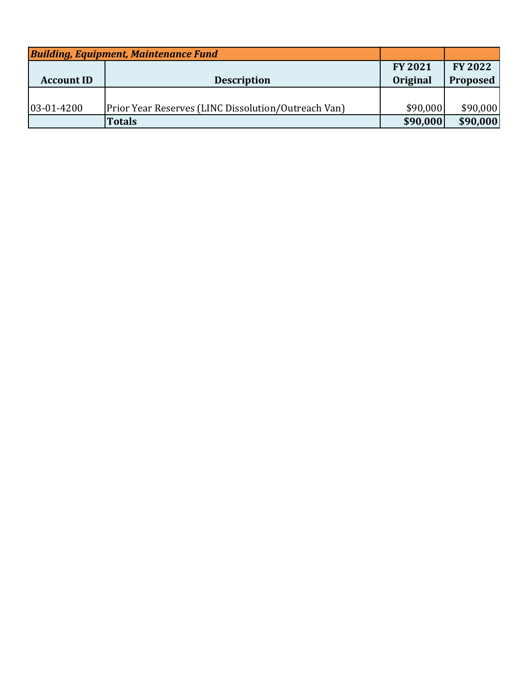| <b>Building, Equipment, Maintenance Fund</b> |                                                            |                 |                |
|----------------------------------------------|------------------------------------------------------------|-----------------|----------------|
|                                              |                                                            | <b>FY 2021</b>  | <b>FY 2022</b> |
| <b>Account ID</b>                            | <b>Description</b>                                         | <b>Original</b> | Proposed       |
|                                              |                                                            |                 |                |
| 03-01-4200                                   | <b>Prior Year Reserves (LINC Dissolution/Outreach Van)</b> | \$90,000        | \$90,000       |
|                                              | <b>Totals</b>                                              | \$90,000        | \$90,000       |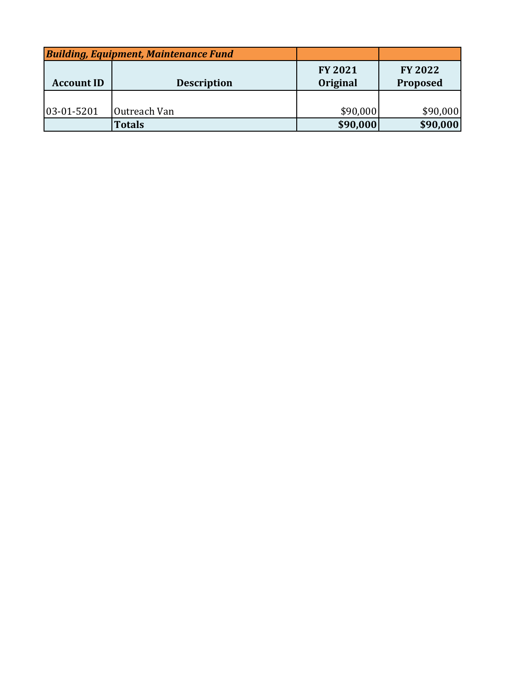| <b>Building, Equipment, Maintenance Fund</b> |                    |                            |                            |
|----------------------------------------------|--------------------|----------------------------|----------------------------|
| <b>Account ID</b>                            | <b>Description</b> | <b>FY 2021</b><br>Original | <b>FY 2022</b><br>Proposed |
|                                              |                    |                            |                            |
| $ 03-01-5201$                                | Outreach Van       | \$90,000                   | \$90,000                   |
|                                              | <b>Totals</b>      | \$90,000                   | \$90,000                   |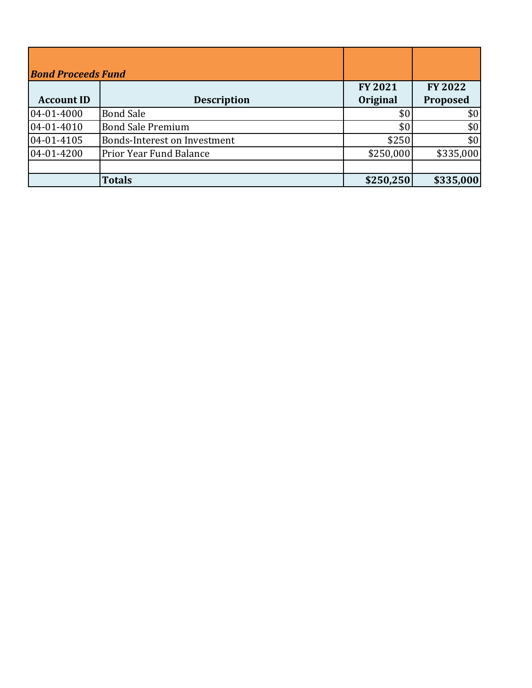| <b>Bond Proceeds Fund</b> |                                     |                            |                            |
|---------------------------|-------------------------------------|----------------------------|----------------------------|
| <b>Account ID</b>         | <b>Description</b>                  | <b>FY 2021</b><br>Original | <b>FY 2022</b><br>Proposed |
| 04-01-4000                | <b>Bond Sale</b>                    | \$0                        | \$0                        |
| 04-01-4010                | <b>Bond Sale Premium</b>            | \$0                        | \$0                        |
| 04-01-4105                | <b>Bonds-Interest on Investment</b> | \$250                      | \$0                        |
| 04-01-4200                | <b>Prior Year Fund Balance</b>      | \$250,000                  | \$335,000                  |
|                           |                                     |                            |                            |
|                           | <b>Totals</b>                       | \$250,250                  | \$335,000                  |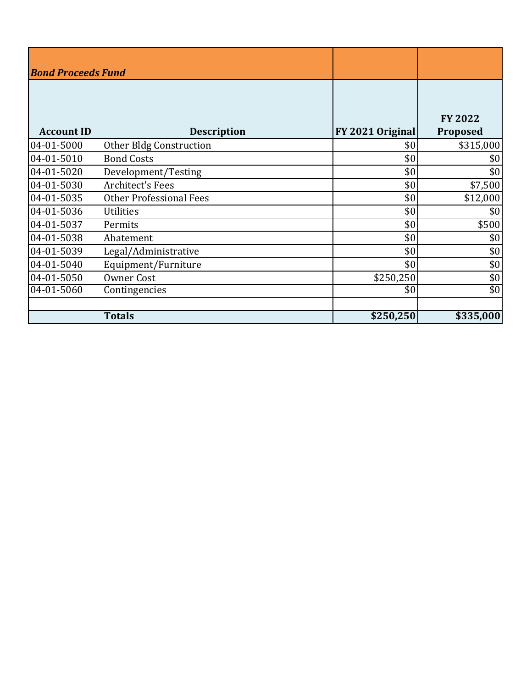| <b>Bond Proceeds Fund</b> |                                |                  |                            |
|---------------------------|--------------------------------|------------------|----------------------------|
| <b>Account ID</b>         | <b>Description</b>             | FY 2021 Original | <b>FY 2022</b><br>Proposed |
| 04-01-5000                | Other Bldg Construction        | \$0              | \$315,000                  |
| 04-01-5010                | <b>Bond Costs</b>              | \$0              | \$0                        |
| 04-01-5020                | Development/Testing            | \$0              | \$0                        |
| 04-01-5030                | <b>Architect's Fees</b>        | \$0              | \$7,500                    |
| 04-01-5035                | <b>Other Professional Fees</b> | \$0              | \$12,000                   |
| 04-01-5036                | <b>Utilities</b>               | \$0              | \$0                        |
| 04-01-5037                | Permits                        | \$0              | \$500                      |
| 04-01-5038                | Abatement                      | \$0              | \$0                        |
| 04-01-5039                | Legal/Administrative           | \$0              | \$0                        |
| 04-01-5040                | Equipment/Furniture            | \$0              | \$0                        |
| 04-01-5050                | Owner Cost                     | \$250,250        | \$0                        |
| 04-01-5060                | Contingencies                  | \$0              | \$0                        |
|                           | <b>Totals</b>                  | \$250,250        | \$335,000                  |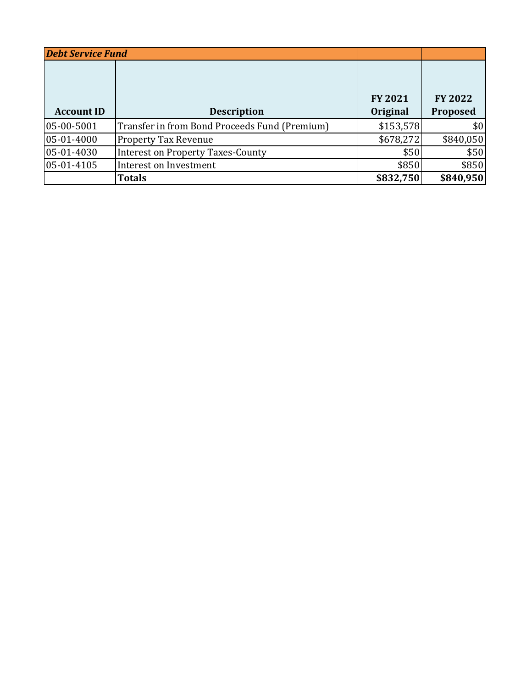| <b>Debt Service Fund</b> |                                               |                            |                            |
|--------------------------|-----------------------------------------------|----------------------------|----------------------------|
| <b>Account ID</b>        | <b>Description</b>                            | <b>FY 2021</b><br>Original | <b>FY 2022</b><br>Proposed |
|                          |                                               |                            |                            |
| 05-00-5001               | Transfer in from Bond Proceeds Fund (Premium) | \$153,578                  | \$0                        |
| 05-01-4000               | <b>Property Tax Revenue</b>                   | \$678,272                  | \$840,050                  |
| 05-01-4030               | <b>Interest on Property Taxes-County</b>      | \$50                       | \$50                       |
| 05-01-4105               | Interest on Investment                        | \$850                      | \$850                      |
|                          | <b>Totals</b>                                 | \$832,750                  | \$840,950                  |